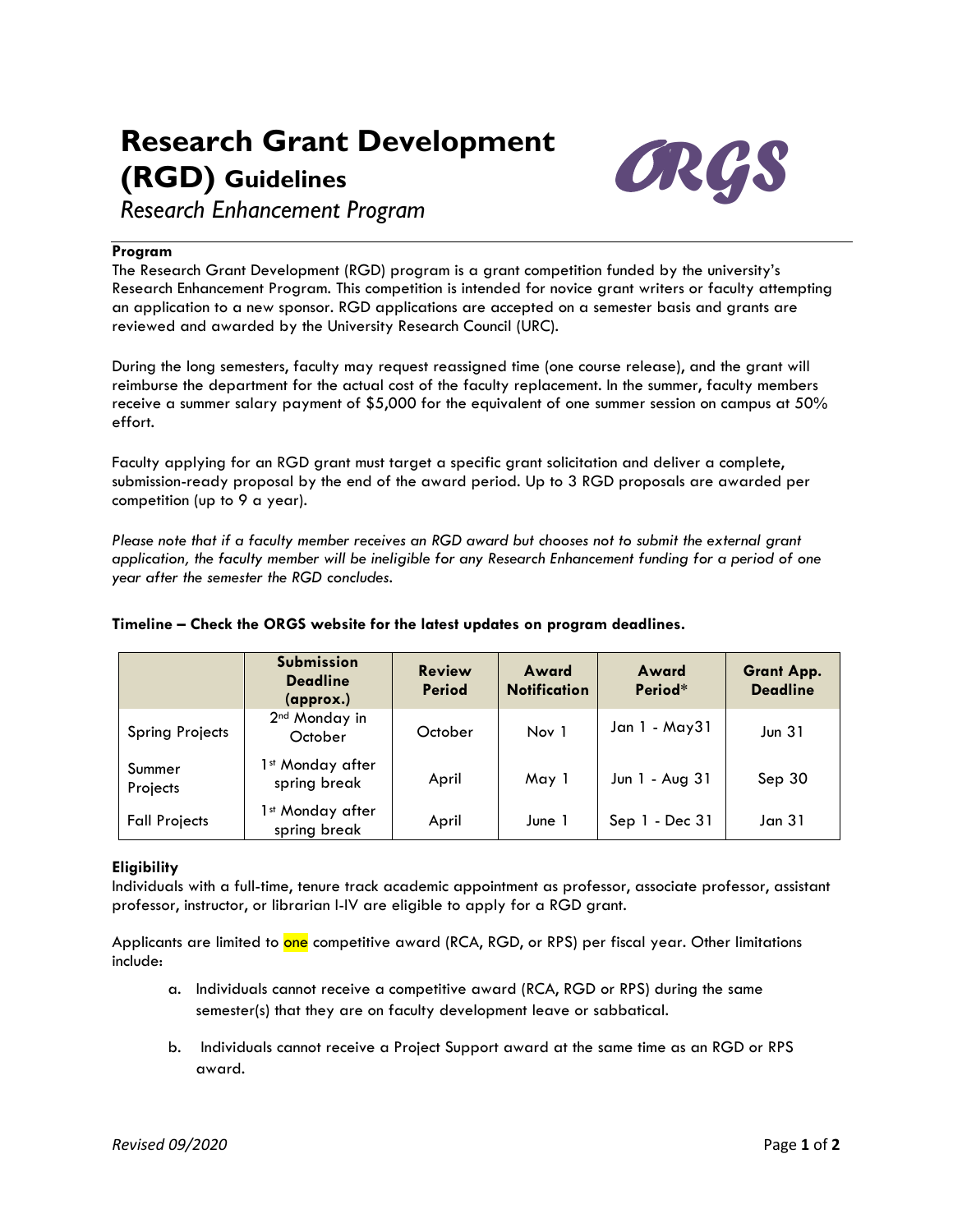# **Research Grant Development (RGD) Guidelines**



*Research Enhancement Program*

## **Program**

The Research Grant Development (RGD) program is a grant competition funded by the university's Research Enhancement Program. This competition is intended for novice grant writers or faculty attempting an application to a new sponsor. RGD applications are accepted on a semester basis and grants are reviewed and awarded by the University Research Council (URC).

During the long semesters, faculty may request reassigned time (one course release), and the grant will reimburse the department for the actual cost of the faculty replacement. In the summer, faculty members receive a summer salary payment of \$5,000 for the equivalent of one summer session on campus at 50% effort.

Faculty applying for an RGD grant must target a specific grant solicitation and deliver a complete, submission-ready proposal by the end of the award period. Up to 3 RGD proposals are awarded per competition (up to 9 a year).

*Please note that if a faculty member receives an RGD award but chooses not to submit the external grant application, the faculty member will be ineligible for any Research Enhancement funding for a period of one year after the semester the RGD concludes.*

|                        | <b>Submission</b><br><b>Deadline</b><br>(approx.) | <b>Review</b><br><b>Period</b> | Award<br><b>Notification</b> | Award<br>Period* | <b>Grant App.</b><br><b>Deadline</b> |
|------------------------|---------------------------------------------------|--------------------------------|------------------------------|------------------|--------------------------------------|
| <b>Spring Projects</b> | 2 <sup>nd</sup> Monday in<br>October              | October                        | Nov 1                        | Jan 1 - May31    | Jun $31$                             |
| Summer<br>Projects     | 1st Monday after<br>spring break                  | April                          | May 1                        | Jun 1 - Aug 31   | Sep 30                               |
| <b>Fall Projects</b>   | lst Monday after<br>spring break                  | April                          | June 1                       | $Sep 1 - Dec 31$ | Jan 31                               |

# **Timeline – Check the ORGS website for the latest updates on program deadlines.**

# **Eligibility**

Individuals with a full-time, tenure track academic appointment as professor, associate professor, assistant professor, instructor, or librarian I-IV are eligible to apply for a RGD grant.

Applicants are limited to one competitive award (RCA, RGD, or RPS) per fiscal year. Other limitations include:

- a. Individuals cannot receive a competitive award (RCA, RGD or RPS) during the same semester(s) that they are on faculty development leave or sabbatical.
- b. Individuals cannot receive a Project Support award at the same time as an RGD or RPS award.